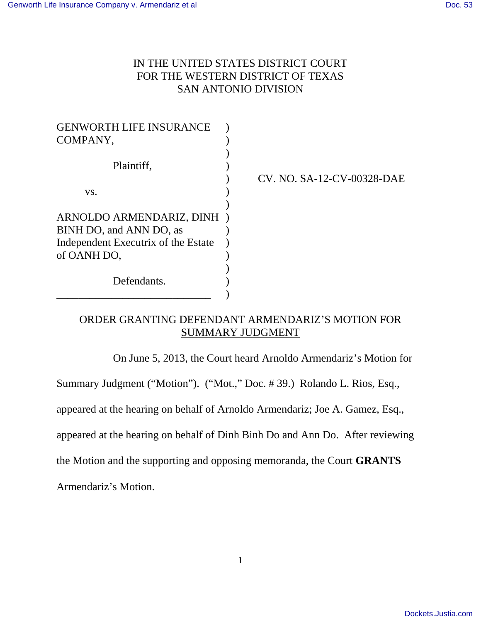# IN THE UNITED STATES DISTRICT COURT FOR THE WESTERN DISTRICT OF TEXAS SAN ANTONIO DIVISION

| <b>GENWORTH LIFE INSURANCE</b>      |                            |
|-------------------------------------|----------------------------|
| COMPANY,                            |                            |
|                                     |                            |
| Plaintiff,                          |                            |
|                                     | CV. NO. SA-12-CV-00328-DAE |
| VS.                                 |                            |
|                                     |                            |
| ARNOLDO ARMENDARIZ, DINH)           |                            |
| BINH DO, and ANN DO, as             |                            |
| Independent Executrix of the Estate |                            |
| of OANH DO,                         |                            |
|                                     |                            |
| Defendants.                         |                            |
|                                     |                            |

# ORDER GRANTING DEFENDANT ARMENDARIZ'S MOTION FOR SUMMARY JUDGMENT

On June 5, 2013, the Court heard Arnoldo Armendariz's Motion for

Summary Judgment ("Motion"). ("Mot.," Doc. # 39.) Rolando L. Rios, Esq.,

appeared at the hearing on behalf of Arnoldo Armendariz; Joe A. Gamez, Esq.,

appeared at the hearing on behalf of Dinh Binh Do and Ann Do. After reviewing

the Motion and the supporting and opposing memoranda, the Court **GRANTS**

Armendariz's Motion.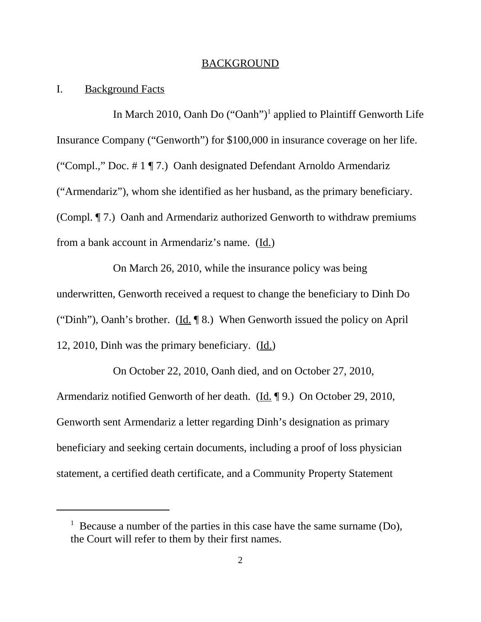### **BACKGROUND**

### I. Background Facts

In March 2010, Oanh Do ("Oanh")<sup>1</sup> applied to Plaintiff Genworth Life Insurance Company ("Genworth") for \$100,000 in insurance coverage on her life. ("Compl.," Doc. # 1 ¶ 7.) Oanh designated Defendant Arnoldo Armendariz ("Armendariz"), whom she identified as her husband, as the primary beneficiary. (Compl. ¶ 7.) Oanh and Armendariz authorized Genworth to withdraw premiums from a bank account in Armendariz's name. (Id.)

On March 26, 2010, while the insurance policy was being underwritten, Genworth received a request to change the beneficiary to Dinh Do ("Dinh"), Oanh's brother. (Id. ¶ 8.) When Genworth issued the policy on April 12, 2010, Dinh was the primary beneficiary.  $(\underline{Id.})$ 

On October 22, 2010, Oanh died, and on October 27, 2010, Armendariz notified Genworth of her death. (Id. ¶ 9.) On October 29, 2010, Genworth sent Armendariz a letter regarding Dinh's designation as primary beneficiary and seeking certain documents, including a proof of loss physician statement, a certified death certificate, and a Community Property Statement

<sup>&</sup>lt;sup>1</sup> Because a number of the parties in this case have the same surname (Do), the Court will refer to them by their first names.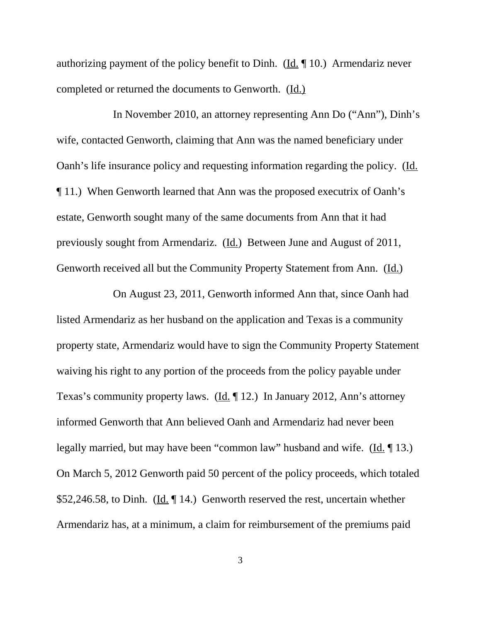authorizing payment of the policy benefit to Dinh. ( $\underline{Id}$ ,  $\P$  10.) Armendariz never completed or returned the documents to Genworth. (Id.)

In November 2010, an attorney representing Ann Do ("Ann"), Dinh's wife, contacted Genworth, claiming that Ann was the named beneficiary under Oanh's life insurance policy and requesting information regarding the policy. (Id. ¶ 11.) When Genworth learned that Ann was the proposed executrix of Oanh's estate, Genworth sought many of the same documents from Ann that it had previously sought from Armendariz. (Id.) Between June and August of 2011, Genworth received all but the Community Property Statement from Ann. (Id.)

On August 23, 2011, Genworth informed Ann that, since Oanh had listed Armendariz as her husband on the application and Texas is a community property state, Armendariz would have to sign the Community Property Statement waiving his right to any portion of the proceeds from the policy payable under Texas's community property laws. (Id. 12.) In January 2012, Ann's attorney informed Genworth that Ann believed Oanh and Armendariz had never been legally married, but may have been "common law" husband and wife. (Id. ¶ 13.) On March 5, 2012 Genworth paid 50 percent of the policy proceeds, which totaled \$52,246.58, to Dinh. (Id. ¶ 14.) Genworth reserved the rest, uncertain whether Armendariz has, at a minimum, a claim for reimbursement of the premiums paid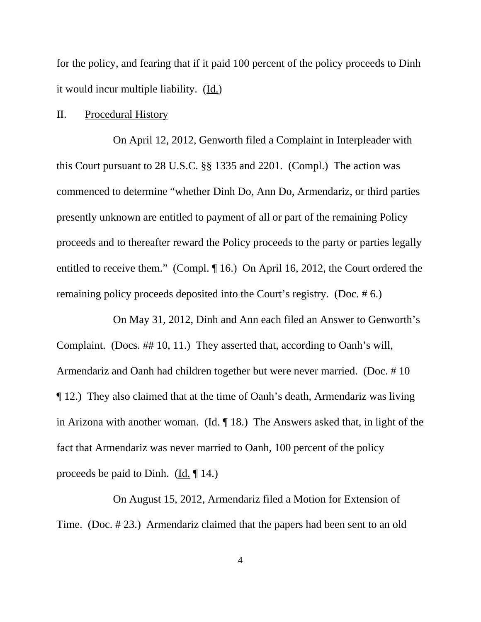for the policy, and fearing that if it paid 100 percent of the policy proceeds to Dinh it would incur multiple liability. (Id.)

### II. Procedural History

On April 12, 2012, Genworth filed a Complaint in Interpleader with this Court pursuant to 28 U.S.C. §§ 1335 and 2201. (Compl.) The action was commenced to determine "whether Dinh Do, Ann Do, Armendariz, or third parties presently unknown are entitled to payment of all or part of the remaining Policy proceeds and to thereafter reward the Policy proceeds to the party or parties legally entitled to receive them." (Compl. ¶ 16.) On April 16, 2012, the Court ordered the remaining policy proceeds deposited into the Court's registry. (Doc. # 6.)

On May 31, 2012, Dinh and Ann each filed an Answer to Genworth's Complaint. (Docs. ## 10, 11.) They asserted that, according to Oanh's will, Armendariz and Oanh had children together but were never married. (Doc. # 10 ¶ 12.) They also claimed that at the time of Oanh's death, Armendariz was living in Arizona with another woman. (Id.  $\P$  18.) The Answers asked that, in light of the fact that Armendariz was never married to Oanh, 100 percent of the policy proceeds be paid to Dinh. (Id.  $\P$  14.)

On August 15, 2012, Armendariz filed a Motion for Extension of Time. (Doc. # 23.) Armendariz claimed that the papers had been sent to an old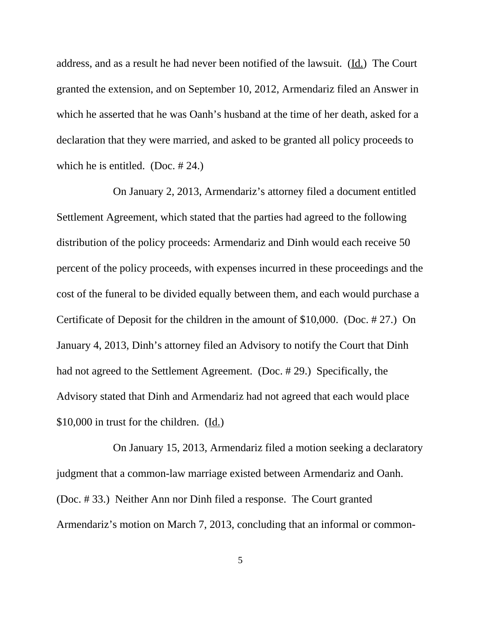address, and as a result he had never been notified of the lawsuit. (Id.) The Court granted the extension, and on September 10, 2012, Armendariz filed an Answer in which he asserted that he was Oanh's husband at the time of her death, asked for a declaration that they were married, and asked to be granted all policy proceeds to which he is entitled. (Doc. # 24.)

On January 2, 2013, Armendariz's attorney filed a document entitled Settlement Agreement, which stated that the parties had agreed to the following distribution of the policy proceeds: Armendariz and Dinh would each receive 50 percent of the policy proceeds, with expenses incurred in these proceedings and the cost of the funeral to be divided equally between them, and each would purchase a Certificate of Deposit for the children in the amount of \$10,000. (Doc. # 27.) On January 4, 2013, Dinh's attorney filed an Advisory to notify the Court that Dinh had not agreed to the Settlement Agreement. (Doc. # 29.) Specifically, the Advisory stated that Dinh and Armendariz had not agreed that each would place \$10,000 in trust for the children. (Id.)

On January 15, 2013, Armendariz filed a motion seeking a declaratory judgment that a common-law marriage existed between Armendariz and Oanh. (Doc. # 33.) Neither Ann nor Dinh filed a response. The Court granted Armendariz's motion on March 7, 2013, concluding that an informal or common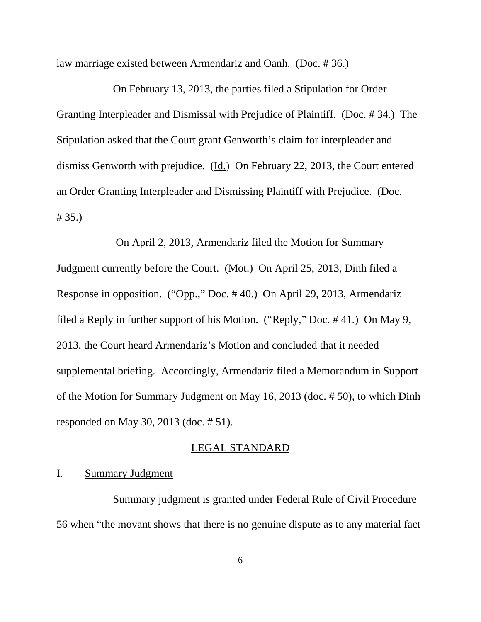law marriage existed between Armendariz and Oanh. (Doc. # 36.)

On February 13, 2013, the parties filed a Stipulation for Order Granting Interpleader and Dismissal with Prejudice of Plaintiff. (Doc. # 34.) The Stipulation asked that the Court grant Genworth's claim for interpleader and dismiss Genworth with prejudice. (Id.) On February 22, 2013, the Court entered an Order Granting Interpleader and Dismissing Plaintiff with Prejudice. (Doc. # 35.)

 On April 2, 2013, Armendariz filed the Motion for Summary Judgment currently before the Court. (Mot.) On April 25, 2013, Dinh filed a Response in opposition. ("Opp.," Doc. # 40.) On April 29, 2013, Armendariz filed a Reply in further support of his Motion. ("Reply," Doc. # 41.) On May 9, 2013, the Court heard Armendariz's Motion and concluded that it needed supplemental briefing. Accordingly, Armendariz filed a Memorandum in Support of the Motion for Summary Judgment on May 16, 2013 (doc. # 50), to which Dinh responded on May 30, 2013 (doc. # 51).

#### LEGAL STANDARD

# I. Summary Judgment

Summary judgment is granted under Federal Rule of Civil Procedure 56 when "the movant shows that there is no genuine dispute as to any material fact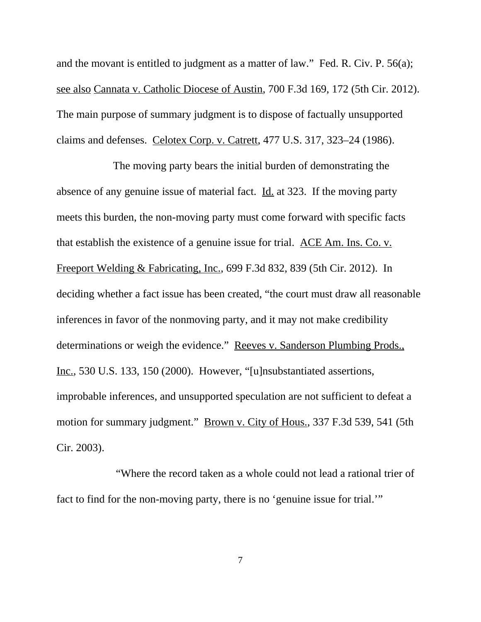and the movant is entitled to judgment as a matter of law." Fed. R. Civ. P. 56(a); see also Cannata v. Catholic Diocese of Austin, 700 F.3d 169, 172 (5th Cir. 2012). The main purpose of summary judgment is to dispose of factually unsupported claims and defenses. Celotex Corp. v. Catrett, 477 U.S. 317, 323–24 (1986).

The moving party bears the initial burden of demonstrating the absence of any genuine issue of material fact. Id. at 323. If the moving party meets this burden, the non-moving party must come forward with specific facts that establish the existence of a genuine issue for trial. ACE Am. Ins. Co. v. Freeport Welding & Fabricating, Inc., 699 F.3d 832, 839 (5th Cir. 2012). In deciding whether a fact issue has been created, "the court must draw all reasonable inferences in favor of the nonmoving party, and it may not make credibility determinations or weigh the evidence." Reeves v. Sanderson Plumbing Prods., Inc., 530 U.S. 133, 150 (2000). However, "[u]nsubstantiated assertions, improbable inferences, and unsupported speculation are not sufficient to defeat a motion for summary judgment." Brown v. City of Hous., 337 F.3d 539, 541 (5th Cir. 2003).

 "Where the record taken as a whole could not lead a rational trier of fact to find for the non-moving party, there is no 'genuine issue for trial.'"

7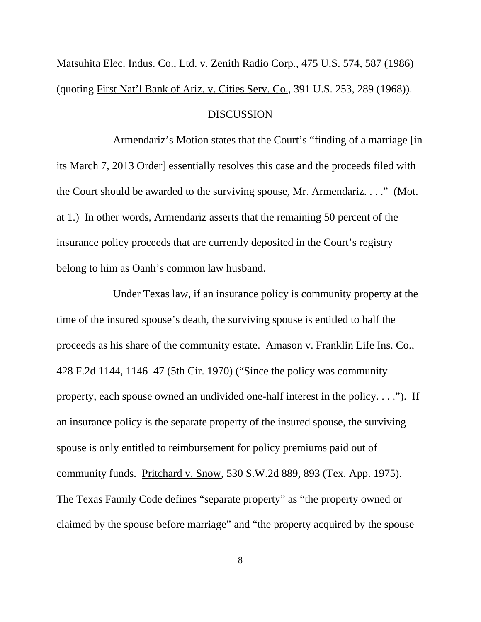Matsuhita Elec. Indus. Co., Ltd. v. Zenith Radio Corp., 475 U.S. 574, 587 (1986) (quoting First Nat'l Bank of Ariz. v. Cities Serv. Co., 391 U.S. 253, 289 (1968)).

#### DISCUSSION

Armendariz's Motion states that the Court's "finding of a marriage [in its March 7, 2013 Order] essentially resolves this case and the proceeds filed with the Court should be awarded to the surviving spouse, Mr. Armendariz. . . ." (Mot. at 1.) In other words, Armendariz asserts that the remaining 50 percent of the insurance policy proceeds that are currently deposited in the Court's registry belong to him as Oanh's common law husband.

Under Texas law, if an insurance policy is community property at the time of the insured spouse's death, the surviving spouse is entitled to half the proceeds as his share of the community estate. Amason v. Franklin Life Ins. Co., 428 F.2d 1144, 1146–47 (5th Cir. 1970) ("Since the policy was community property, each spouse owned an undivided one-half interest in the policy. . . ."). If an insurance policy is the separate property of the insured spouse, the surviving spouse is only entitled to reimbursement for policy premiums paid out of community funds. Pritchard v. Snow, 530 S.W.2d 889, 893 (Tex. App. 1975). The Texas Family Code defines "separate property" as "the property owned or claimed by the spouse before marriage" and "the property acquired by the spouse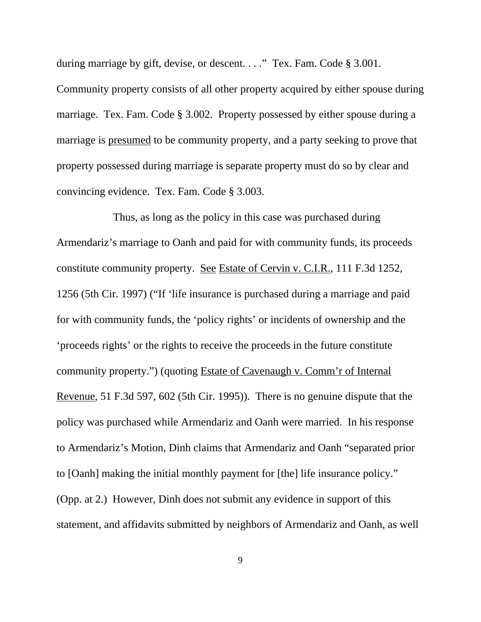during marriage by gift, devise, or descent. . . ." Tex. Fam. Code § 3.001. Community property consists of all other property acquired by either spouse during marriage. Tex. Fam. Code § 3.002. Property possessed by either spouse during a marriage is presumed to be community property, and a party seeking to prove that property possessed during marriage is separate property must do so by clear and convincing evidence. Tex. Fam. Code § 3.003.

Thus, as long as the policy in this case was purchased during Armendariz's marriage to Oanh and paid for with community funds, its proceeds constitute community property. See Estate of Cervin v. C.I.R., 111 F.3d 1252, 1256 (5th Cir. 1997) ("If 'life insurance is purchased during a marriage and paid for with community funds, the 'policy rights' or incidents of ownership and the 'proceeds rights' or the rights to receive the proceeds in the future constitute community property.") (quoting Estate of Cavenaugh v. Comm'r of Internal Revenue, 51 F.3d 597, 602 (5th Cir. 1995)). There is no genuine dispute that the policy was purchased while Armendariz and Oanh were married. In his response to Armendariz's Motion, Dinh claims that Armendariz and Oanh "separated prior to [Oanh] making the initial monthly payment for [the] life insurance policy." (Opp. at 2.) However, Dinh does not submit any evidence in support of this statement, and affidavits submitted by neighbors of Armendariz and Oanh, as well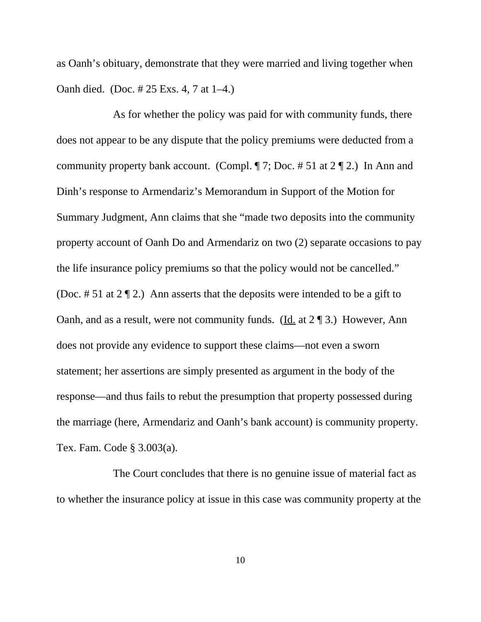as Oanh's obituary, demonstrate that they were married and living together when Oanh died. (Doc. # 25 Exs. 4, 7 at 1–4.)

As for whether the policy was paid for with community funds, there does not appear to be any dispute that the policy premiums were deducted from a community property bank account. (Compl.  $\P$  7; Doc. #51 at 2  $\P$  2.) In Ann and Dinh's response to Armendariz's Memorandum in Support of the Motion for Summary Judgment, Ann claims that she "made two deposits into the community property account of Oanh Do and Armendariz on two (2) separate occasions to pay the life insurance policy premiums so that the policy would not be cancelled." (Doc.  $\# 51$  at  $2 \nparallel 2$ .) Ann asserts that the deposits were intended to be a gift to Oanh, and as a result, were not community funds. (Id. at 2 ¶ 3.) However, Ann does not provide any evidence to support these claims—not even a sworn statement; her assertions are simply presented as argument in the body of the response—and thus fails to rebut the presumption that property possessed during the marriage (here, Armendariz and Oanh's bank account) is community property. Tex. Fam. Code § 3.003(a).

The Court concludes that there is no genuine issue of material fact as to whether the insurance policy at issue in this case was community property at the